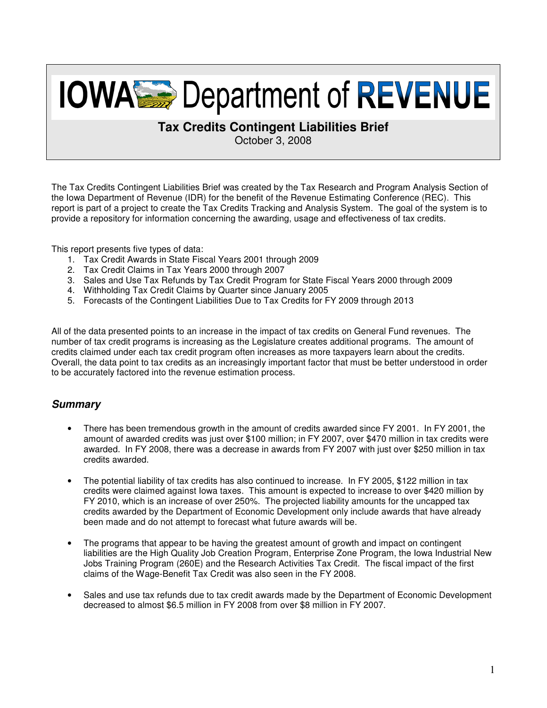# **IOWASS** Department of REVENUE

# **Tax Credits Contingent Liabilities Brief**

October 3, 2008

The Tax Credits Contingent Liabilities Brief was created by the Tax Research and Program Analysis Section of the Iowa Department of Revenue (IDR) for the benefit of the Revenue Estimating Conference (REC). This report is part of a project to create the Tax Credits Tracking and Analysis System. The goal of the system is to provide a repository for information concerning the awarding, usage and effectiveness of tax credits.

This report presents five types of data:

- 1. Tax Credit Awards in State Fiscal Years 2001 through 2009
- 2. Tax Credit Claims in Tax Years 2000 through 2007
- 3. Sales and Use Tax Refunds by Tax Credit Program for State Fiscal Years 2000 through 2009
- 4. Withholding Tax Credit Claims by Quarter since January 2005
- 5. Forecasts of the Contingent Liabilities Due to Tax Credits for FY 2009 through 2013

All of the data presented points to an increase in the impact of tax credits on General Fund revenues. The number of tax credit programs is increasing as the Legislature creates additional programs. The amount of credits claimed under each tax credit program often increases as more taxpayers learn about the credits. Overall, the data point to tax credits as an increasingly important factor that must be better understood in order to be accurately factored into the revenue estimation process.

## **Summary**

- There has been tremendous growth in the amount of credits awarded since FY 2001. In FY 2001, the amount of awarded credits was just over \$100 million; in FY 2007, over \$470 million in tax credits were awarded. In FY 2008, there was a decrease in awards from FY 2007 with just over \$250 million in tax credits awarded.
- The potential liability of tax credits has also continued to increase. In FY 2005, \$122 million in tax credits were claimed against Iowa taxes. This amount is expected to increase to over \$420 million by FY 2010, which is an increase of over 250%. The projected liability amounts for the uncapped tax credits awarded by the Department of Economic Development only include awards that have already been made and do not attempt to forecast what future awards will be.
- The programs that appear to be having the greatest amount of growth and impact on contingent liabilities are the High Quality Job Creation Program, Enterprise Zone Program, the Iowa Industrial New Jobs Training Program (260E) and the Research Activities Tax Credit. The fiscal impact of the first claims of the Wage-Benefit Tax Credit was also seen in the FY 2008.
- Sales and use tax refunds due to tax credit awards made by the Department of Economic Development decreased to almost \$6.5 million in FY 2008 from over \$8 million in FY 2007.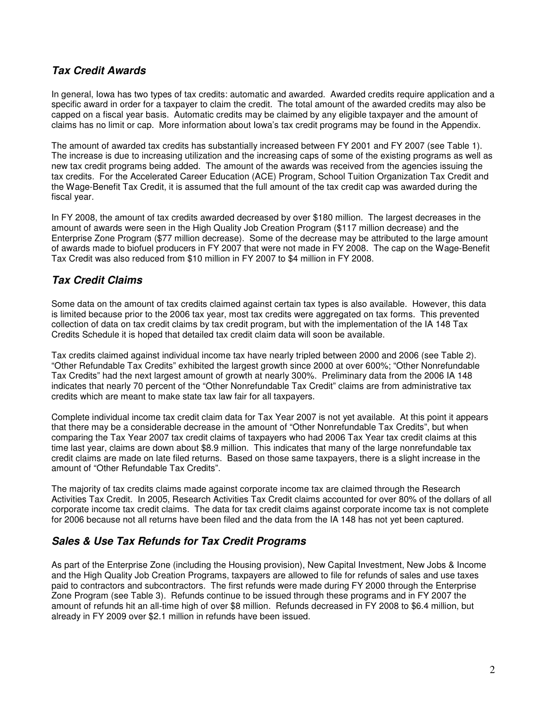## **Tax Credit Awards**

In general, Iowa has two types of tax credits: automatic and awarded. Awarded credits require application and a specific award in order for a taxpayer to claim the credit. The total amount of the awarded credits may also be capped on a fiscal year basis. Automatic credits may be claimed by any eligible taxpayer and the amount of claims has no limit or cap. More information about Iowa's tax credit programs may be found in the Appendix.

The amount of awarded tax credits has substantially increased between FY 2001 and FY 2007 (see Table 1). The increase is due to increasing utilization and the increasing caps of some of the existing programs as well as new tax credit programs being added. The amount of the awards was received from the agencies issuing the tax credits. For the Accelerated Career Education (ACE) Program, School Tuition Organization Tax Credit and the Wage-Benefit Tax Credit, it is assumed that the full amount of the tax credit cap was awarded during the fiscal year.

In FY 2008, the amount of tax credits awarded decreased by over \$180 million. The largest decreases in the amount of awards were seen in the High Quality Job Creation Program (\$117 million decrease) and the Enterprise Zone Program (\$77 million decrease). Some of the decrease may be attributed to the large amount of awards made to biofuel producers in FY 2007 that were not made in FY 2008. The cap on the Wage-Benefit Tax Credit was also reduced from \$10 million in FY 2007 to \$4 million in FY 2008.

## **Tax Credit Claims**

Some data on the amount of tax credits claimed against certain tax types is also available. However, this data is limited because prior to the 2006 tax year, most tax credits were aggregated on tax forms. This prevented collection of data on tax credit claims by tax credit program, but with the implementation of the IA 148 Tax Credits Schedule it is hoped that detailed tax credit claim data will soon be available.

Tax credits claimed against individual income tax have nearly tripled between 2000 and 2006 (see Table 2). "Other Refundable Tax Credits" exhibited the largest growth since 2000 at over 600%; "Other Nonrefundable Tax Credits" had the next largest amount of growth at nearly 300%. Preliminary data from the 2006 IA 148 indicates that nearly 70 percent of the "Other Nonrefundable Tax Credit" claims are from administrative tax credits which are meant to make state tax law fair for all taxpayers.

Complete individual income tax credit claim data for Tax Year 2007 is not yet available. At this point it appears that there may be a considerable decrease in the amount of "Other Nonrefundable Tax Credits", but when comparing the Tax Year 2007 tax credit claims of taxpayers who had 2006 Tax Year tax credit claims at this time last year, claims are down about \$8.9 million. This indicates that many of the large nonrefundable tax credit claims are made on late filed returns. Based on those same taxpayers, there is a slight increase in the amount of "Other Refundable Tax Credits".

The majority of tax credits claims made against corporate income tax are claimed through the Research Activities Tax Credit. In 2005, Research Activities Tax Credit claims accounted for over 80% of the dollars of all corporate income tax credit claims. The data for tax credit claims against corporate income tax is not complete for 2006 because not all returns have been filed and the data from the IA 148 has not yet been captured.

#### **Sales & Use Tax Refunds for Tax Credit Programs**

As part of the Enterprise Zone (including the Housing provision), New Capital Investment, New Jobs & Income and the High Quality Job Creation Programs, taxpayers are allowed to file for refunds of sales and use taxes paid to contractors and subcontractors. The first refunds were made during FY 2000 through the Enterprise Zone Program (see Table 3). Refunds continue to be issued through these programs and in FY 2007 the amount of refunds hit an all-time high of over \$8 million. Refunds decreased in FY 2008 to \$6.4 million, but already in FY 2009 over \$2.1 million in refunds have been issued.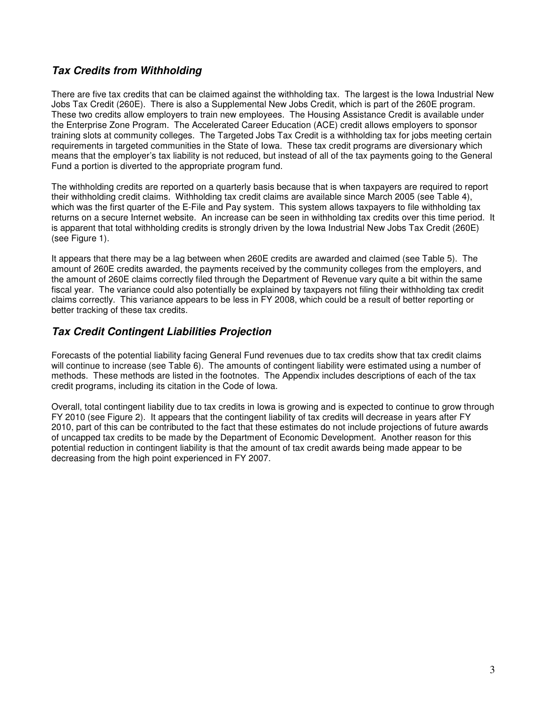## **Tax Credits from Withholding**

There are five tax credits that can be claimed against the withholding tax. The largest is the Iowa Industrial New Jobs Tax Credit (260E). There is also a Supplemental New Jobs Credit, which is part of the 260E program. These two credits allow employers to train new employees. The Housing Assistance Credit is available under the Enterprise Zone Program. The Accelerated Career Education (ACE) credit allows employers to sponsor training slots at community colleges. The Targeted Jobs Tax Credit is a withholding tax for jobs meeting certain requirements in targeted communities in the State of Iowa. These tax credit programs are diversionary which means that the employer's tax liability is not reduced, but instead of all of the tax payments going to the General Fund a portion is diverted to the appropriate program fund.

The withholding credits are reported on a quarterly basis because that is when taxpayers are required to report their withholding credit claims. Withholding tax credit claims are available since March 2005 (see Table 4), which was the first quarter of the E-File and Pay system. This system allows taxpayers to file withholding tax returns on a secure Internet website. An increase can be seen in withholding tax credits over this time period. It is apparent that total withholding credits is strongly driven by the Iowa Industrial New Jobs Tax Credit (260E) (see Figure 1).

It appears that there may be a lag between when 260E credits are awarded and claimed (see Table 5). The amount of 260E credits awarded, the payments received by the community colleges from the employers, and the amount of 260E claims correctly filed through the Department of Revenue vary quite a bit within the same fiscal year. The variance could also potentially be explained by taxpayers not filing their withholding tax credit claims correctly. This variance appears to be less in FY 2008, which could be a result of better reporting or better tracking of these tax credits.

## **Tax Credit Contingent Liabilities Projection**

Forecasts of the potential liability facing General Fund revenues due to tax credits show that tax credit claims will continue to increase (see Table 6). The amounts of contingent liability were estimated using a number of methods. These methods are listed in the footnotes. The Appendix includes descriptions of each of the tax credit programs, including its citation in the Code of Iowa.

Overall, total contingent liability due to tax credits in Iowa is growing and is expected to continue to grow through FY 2010 (see Figure 2). It appears that the contingent liability of tax credits will decrease in years after FY 2010, part of this can be contributed to the fact that these estimates do not include projections of future awards of uncapped tax credits to be made by the Department of Economic Development. Another reason for this potential reduction in contingent liability is that the amount of tax credit awards being made appear to be decreasing from the high point experienced in FY 2007.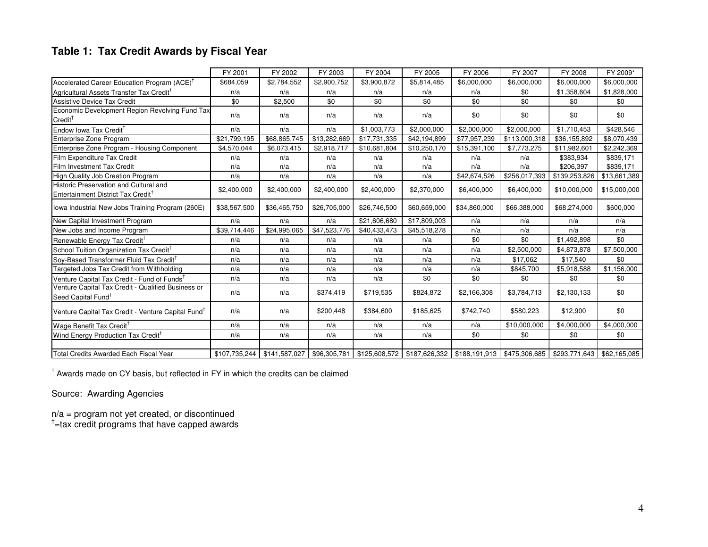## **Table 1: Tax Credit Awards by Fiscal Year**

|                                                                                          | FY 2001                     | FY 2002      | FY 2003      | FY 2004                                                                      | FY 2005      | FY 2006      | FY 2007       | FY 2008                    | FY 2009*     |
|------------------------------------------------------------------------------------------|-----------------------------|--------------|--------------|------------------------------------------------------------------------------|--------------|--------------|---------------|----------------------------|--------------|
| Accelerated Career Education Program (ACE) <sup>1</sup>                                  | \$684,059                   | \$2,784,552  | \$2,900,752  | \$3,900,872                                                                  | \$5,814,485  | \$6,000,000  | \$6,000,000   | \$6,000,000                | \$6,000,000  |
| Agricultural Assets Transfer Tax Credit <sup>1</sup>                                     | n/a                         | n/a          | n/a          | n/a                                                                          | n/a          | n/a          | \$0           | \$1,358,604                | \$1,828,000  |
| <b>Assistive Device Tax Credit</b>                                                       | \$0                         | \$2,500      | \$0          | \$0                                                                          | \$0          | \$0          | \$0           | \$0                        | \$0          |
| Economic Development Region Revolving Fund Tax<br>$Credit^{\dagger}$                     | n/a                         | n/a          | n/a          | n/a                                                                          | n/a          | \$0          | \$0           | \$0                        | \$0          |
| Endow Iowa Tax Credit <sup>†</sup>                                                       | n/a                         | n/a          | n/a          | \$1,003,773                                                                  | \$2,000,000  | \$2,000,000  | \$2,000,000   | \$1,710,453                | \$428,546    |
| Enterprise Zone Program                                                                  | \$21,799,195                | \$68,865,745 | \$13,282,669 | \$17,731,335                                                                 | \$42,194,899 | \$77,957,239 | \$113,000,318 | \$36,155,892               | \$8,070,439  |
| Enterprise Zone Program - Housing Component                                              | \$4,570,044                 | \$6,073,415  | \$2,918,717  | \$10,681,804                                                                 | \$10,250,170 | \$15,391,100 | \$7,773,275   | \$11,982,601               | \$2,242,369  |
| Film Expenditure Tax Credit                                                              | n/a                         | n/a          | n/a          | n/a                                                                          | n/a          | n/a          | n/a           | \$383,934                  | \$839,171    |
| Film Investment Tax Credit                                                               | n/a                         | n/a          | n/a          | n/a                                                                          | n/a          | n/a          | n/a           | \$206,397                  | \$839,171    |
| <b>High Quality Job Creation Program</b>                                                 | n/a                         | n/a          | n/a          | n/a                                                                          | n/a          | \$42,674,526 | \$256,017,393 | \$139,253,826              | \$13,661,389 |
| Historic Preservation and Cultural and<br>Entertainment District Tax Credit <sup>1</sup> | \$2,400,000                 | \$2,400,000  | \$2,400,000  | \$2,400,000                                                                  | \$2,370,000  | \$6,400,000  | \$6,400,000   | \$10,000,000               | \$15,000,000 |
| lowa Industrial New Jobs Training Program (260E)                                         | \$38,567,500                | \$36,465,750 | \$26,705,000 | \$26,746,500                                                                 | \$60,659,000 | \$34,860,000 | \$66,388,000  | \$68,274,000               | \$600,000    |
| New Capital Investment Program                                                           | n/a                         | n/a          | n/a          | \$21,606,680                                                                 | \$17,809,003 | n/a          | n/a           | n/a                        | n/a          |
| New Jobs and Income Program                                                              | \$39,714,446                | \$24,995,065 | \$47,523,776 | \$40,433,473                                                                 | \$45,518,278 | n/a          | n/a           | n/a                        | n/a          |
| Renewable Energy Tax Credit <sup>T</sup>                                                 | n/a                         | n/a          | n/a          | n/a                                                                          | n/a          | \$0          | \$0           | \$1,492,898                | \$0          |
| School Tuition Organization Tax Credit <sup>1</sup>                                      | n/a                         | n/a          | n/a          | n/a                                                                          | n/a          | n/a          | \$2,500,000   | \$4,873,878                | \$7,500,000  |
| Soy-Based Transformer Fluid Tax Credit <sup>T</sup>                                      | n/a                         | n/a          | n/a          | n/a                                                                          | n/a          | n/a          | \$17,062      | \$17,540                   | \$0          |
| Targeted Jobs Tax Credit from Withholding                                                | n/a                         | n/a          | n/a          | n/a                                                                          | n/a          | n/a          | \$845,700     | \$5,918,588                | \$1,156,000  |
| Venture Capital Tax Credit - Fund of Funds <sup>1</sup>                                  | n/a                         | n/a          | n/a          | n/a                                                                          | \$0          | \$0          | \$0           | \$0                        | \$0          |
| Venture Capital Tax Credit - Qualified Business or<br>Seed Capital Fund <sup>T</sup>     | n/a                         | n/a          | \$374,419    | \$719,535                                                                    | \$824,872    | \$2,166,308  | \$3,784,713   | \$2,130,133                | \$0          |
| Venture Capital Tax Credit - Venture Capital Fund <sup>T</sup>                           | n/a                         | n/a          | \$200,448    | \$384,600                                                                    | \$185,625    | \$742,740    | \$580,223     | \$12,900                   | \$0          |
| Wage Benefit Tax Credit <sup>T</sup>                                                     | n/a                         | n/a          | n/a          | n/a                                                                          | n/a          | n/a          | \$10,000,000  | \$4,000,000                | \$4,000,000  |
| Wind Energy Production Tax Credit <sup>†</sup>                                           | n/a                         | n/a          | n/a          | n/a                                                                          | n/a          | \$0          | \$0           | \$0                        | \$0          |
|                                                                                          |                             |              |              |                                                                              |              |              |               |                            |              |
| Total Credits Awarded Each Fiscal Year                                                   | \$107,735,244 \$141,587,027 |              |              | \$96,305,781   \$125,608,572   \$187,626,332   \$188,191,913   \$475,306,685 |              |              |               | \$293,771,643 \$62,165,085 |              |

<sup>1</sup> Awards made on CY basis, but reflected in FY in which the credits can be claimed

Source: Awarding Agencies

 $n/a$  = program not yet created, or discontinued  $t$  = tax credit programs that have capped awards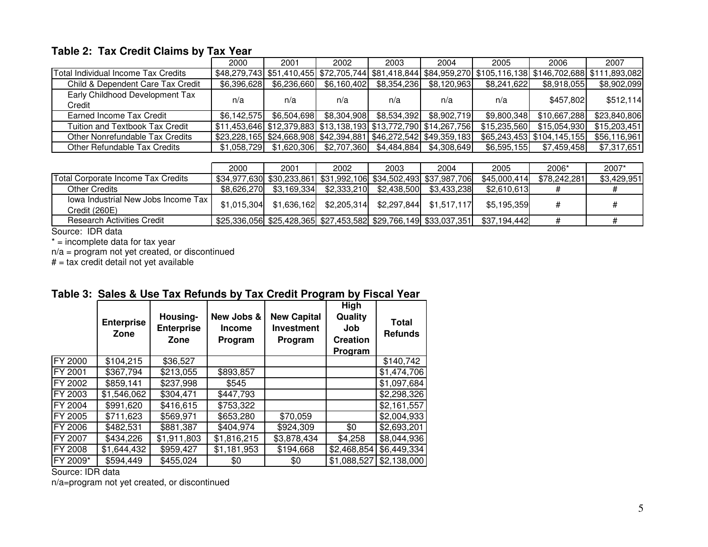# **Table 2: Tax Credit Claims by Tax Year**

|                                           | 2000 | 2001                                                                  | 2002        | 2003                    | 2004        | 2005         | 2006                                                                                                       | 2007         |
|-------------------------------------------|------|-----------------------------------------------------------------------|-------------|-------------------------|-------------|--------------|------------------------------------------------------------------------------------------------------------|--------------|
| Total Individual Income Tax Credits       |      |                                                                       |             |                         |             |              | \$48,279,743 \$51,410,455 \$72,705,744 \$81,418,844 \$84,959,270 \$105,116,138 \$146,702,688 \$111,893,082 |              |
| Child & Dependent Care Tax Credit         |      | \$6,396,628 \$6,236,660                                               |             |                         | \$8,120,963 | \$8,241,622  | \$8,918,055                                                                                                | \$8,902,099  |
| Early Childhood Development Tax<br>Credit | n/a  | n/a                                                                   | n/a         | n/a                     | n/a         | n/a          | \$457,802                                                                                                  | \$512,114    |
| Earned Income Tax Credit                  |      | $$6,142,575$ $$6,504,698$                                             | \$8,304,908 | \$8,534,392             | \$8,902,719 | \$9.800.348  | \$10,667,288                                                                                               | \$23,840,806 |
| Tuition and Textbook Tax Credit           |      | $$11,453,646$ $$12,379,883$ $$13,138,193$ $$13,772,790$ $$14,267,756$ |             |                         |             | \$15,235,560 | \$15,054,930                                                                                               | \$15,203,451 |
| Other Nonrefundable Tax Credits           |      | $$23,228,165$ $$24,668,908$ $$42,394,881$ $$46,272,542$ $$49,359,183$ |             |                         |             |              | $$65,243,453$ $$104,145,155$                                                                               | \$56,116,961 |
| Other Refundable Tax Credits              |      | $$1,058,729$ $$1,620,306$                                             |             | \$2,707,360 \$4,484,884 | \$4.308.649 | \$6,595,155  | \$7,459,458                                                                                                | \$7,317,651  |

|                                                      | 2000        | 2001        | 2002                      | 2003        | 2004                                                             | 2005                                                                          | 2006*        | 2007*       |
|------------------------------------------------------|-------------|-------------|---------------------------|-------------|------------------------------------------------------------------|-------------------------------------------------------------------------------|--------------|-------------|
| <b>Total Corporate Income Tax Credits</b>            |             |             |                           |             | \$34,977,630 \$30,233,861 \$31,992,106 \$34,502,493 \$37,987,706 | \$45,000,414                                                                  | \$78,242,281 | \$3,429,951 |
| Other Credits                                        | \$8.626.270 | \$3,169,334 | \$2,333,210               | \$2.438.500 | \$3.433.238                                                      | \$2.610.613                                                                   |              |             |
| Jowa Industrial New Jobs Income Tax<br>Credit (260E) | \$1.015.304 |             | $$1,636,162$ $$2,205,314$ | \$2,297,844 | \$1,517,117                                                      | \$5.195.359                                                                   |              |             |
| <b>Research Activities Credit</b>                    |             |             |                           |             |                                                                  | \$25,336,056 \$25,428,365 \$27,453,582 \$29,766,149 \$33,037,351 \$37,194,442 |              |             |

Source: IDR data

\* = incomplete data for tax year

n/a = program not yet created, or discontinued # = tax credit detail not yet available

|                | <b>Enterprise</b><br>Zone | Housing-<br><b>Enterprise</b><br>Zone | New Jobs &<br><b>Income</b><br>Program | ۔ ت<br><b>New Capital</b><br><b>Investment</b><br>Program | <b>High</b><br>Quality<br>Job<br><b>Creation</b><br>Program | <b>Total</b><br><b>Refunds</b> |
|----------------|---------------------------|---------------------------------------|----------------------------------------|-----------------------------------------------------------|-------------------------------------------------------------|--------------------------------|
| <b>FY 2000</b> | \$104,215                 | \$36,527                              |                                        |                                                           |                                                             | \$140,742                      |
| FY 2001        | \$367,794                 | \$213,055                             | \$893,857                              |                                                           |                                                             | \$1,474,706                    |
| FY 2002        | \$859,141                 | \$237,998                             | \$545                                  |                                                           |                                                             | \$1,097,684                    |
| FY 2003        | \$1,546,062               | \$304,471                             | \$447,793                              |                                                           |                                                             | \$2,298,326                    |
| FY 2004        | \$991,620                 | \$416,615                             | \$753,322                              |                                                           |                                                             | \$2,161,557                    |
| FY 2005        | \$711,623                 | \$569,971                             | \$653,280                              | \$70,059                                                  |                                                             | \$2,004,933                    |
| <b>FY 2006</b> | \$482,531                 | \$881,387                             | \$404,974                              | \$924,309                                                 | \$0                                                         | \$2,693,201                    |
| <b>FY 2007</b> | \$434,226                 | \$1,911,803                           | \$1,816,215                            | \$3,878,434                                               | \$4,258                                                     | \$8,044,936                    |
| <b>FY 2008</b> | \$1,644,432               | \$959,427                             | \$1,181,953                            | \$194,668                                                 | \$2,468,854                                                 | \$6,449,334                    |
| FY 2009*       | \$594,449                 | \$455,024                             | \$0                                    | \$0                                                       | \$1,088,527                                                 | \$2,138,000                    |

#### **Table 3: Sales & Use Tax Refunds by Tax Credit Program by Fiscal Year**

Source: IDR data

n/a=program not yet created, or discontinued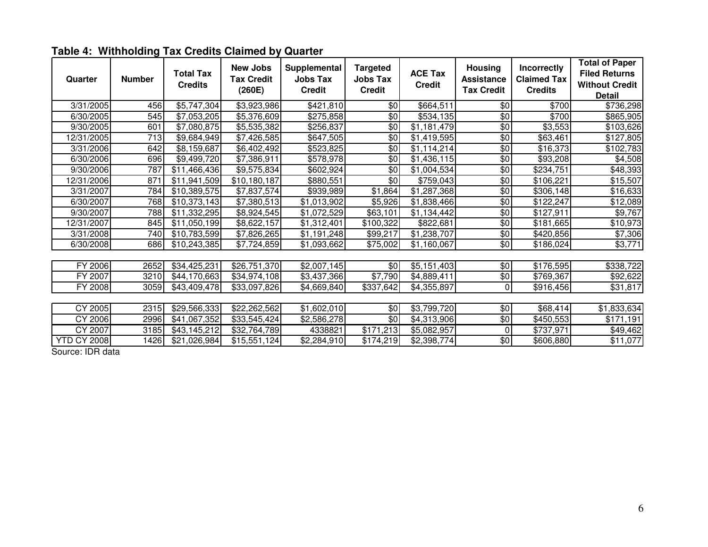| Quarter            | <b>Number</b> | <b>Total Tax</b><br><b>Credits</b> | <b>New Jobs</b><br><b>Tax Credit</b><br>(260E) | Supplemental<br><b>Jobs Tax</b><br><b>Credit</b> | <b>Targeted</b><br><b>Jobs Tax</b><br><b>Credit</b> | <b>ACE Tax</b><br><b>Credit</b> | Housing<br><b>Assistance</b><br><b>Tax Credit</b> | Incorrectly<br><b>Claimed Tax</b><br><b>Credits</b> | <b>Total of Paper</b><br><b>Filed Returns</b><br><b>Without Credit</b><br><b>Detail</b> |
|--------------------|---------------|------------------------------------|------------------------------------------------|--------------------------------------------------|-----------------------------------------------------|---------------------------------|---------------------------------------------------|-----------------------------------------------------|-----------------------------------------------------------------------------------------|
| 3/31/2005          | 456           | \$5,747,304                        | \$3,923,986                                    | \$421,810                                        | \$0                                                 | \$664,511                       | \$0                                               | \$700                                               | \$736,298                                                                               |
| 6/30/2005          | 545           | $\overline{$7,053,205}$            | \$5,376,609                                    | \$275,858                                        | \$0                                                 | \$534,135                       | $\frac{6}{3}$                                     | \$700                                               | \$865,905                                                                               |
| 9/30/2005          | 601           | $\overline{$7,080,875}$            | \$5,535,382                                    | \$256,837                                        | $\sqrt[6]{}$                                        | $\overline{1,181,479}$          | $\frac{6}{3}$                                     | $\overline{$3,553}$                                 | \$103,626                                                                               |
| 12/31/2005         | 713           | \$9,684,949                        | \$7,426,585                                    | \$647,505                                        | \$0                                                 | \$1,419,595                     | \$0                                               | $\overline{$}63,461$                                | \$127,805                                                                               |
| 3/31/2006          | 642           | \$8,159,687                        | \$6,402,492                                    | \$523,825                                        | \$0                                                 | \$1,114,214                     | \$0                                               | \$16,373                                            | \$102,783                                                                               |
| 6/30/2006          | 696           | \$9,499,720                        | \$7,386,911                                    | \$578,978                                        | \$0                                                 | \$1,436,115                     | $\frac{6}{2}$                                     | \$93,208                                            | \$4,508                                                                                 |
| 9/30/2006          | 787           | $\overline{$11,466,436}$           | \$9,575,834                                    | \$602,924                                        | $\sqrt[6]{}$                                        | \$1,004,534                     | \$0                                               | \$234,751                                           | \$48,393                                                                                |
| 12/31/2006         | 871           | \$11,941,509                       | \$10,180,187                                   | \$880,551                                        | \$0                                                 | \$759,043                       | \$0                                               | \$106,221                                           | \$15,507                                                                                |
| 3/31/2007          | 784           | \$10,389,575                       | \$7,837,574                                    | \$939,989                                        | \$1,864                                             | \$1,287,368                     | \$0                                               | \$306,148                                           | \$16,633                                                                                |
| 6/30/2007          | 768           | \$10,373,143                       | \$7,380,513                                    | \$1,013,902                                      | \$5,926                                             | \$1,838,466                     | \$0                                               | \$122,247                                           | \$12,089                                                                                |
| 9/30/2007          | 788           | \$11,332,295                       | \$8,924,545                                    | \$1,072,529                                      | \$63,101                                            | \$1,134,442                     | \$0                                               | \$127,911                                           | \$9,767                                                                                 |
| 12/31/2007         | 845           | \$11,050,199                       | \$8,622,157                                    | \$1,312,401                                      | \$100,322                                           | \$822,681                       | $\frac{6}{5}$                                     | \$181,665                                           | \$10,973                                                                                |
| 3/31/2008          | 740           | \$10,783,599                       | \$7,826,265                                    | \$1,191,248                                      | \$99,217                                            | \$1,238,707                     | \$0                                               | \$420,856                                           | \$7,306                                                                                 |
| 6/30/2008          | 686           | \$10,243,385                       | \$7,724,859                                    | \$1,093,662                                      | \$75,002                                            | \$1,160,067                     | \$0                                               | \$186,024                                           | \$3,771                                                                                 |
|                    |               |                                    |                                                |                                                  |                                                     |                                 |                                                   |                                                     |                                                                                         |
| FY 2006            | 2652          | \$34,425,231                       | \$26,751,370                                   | \$2,007,145                                      | \$0                                                 | \$5,151,403                     | \$0                                               | \$176,595                                           | \$338,722                                                                               |
| FY 2007            | 3210          | \$44,170,663                       | \$34,974,108                                   | \$3,437,366                                      | \$7,790                                             | \$4,889,411                     | \$0                                               | \$769,367                                           | \$92,622                                                                                |
| FY 2008            | 3059          | \$43,409,478                       | \$33,097,826                                   | \$4,669,840                                      | \$337,642                                           | \$4,355,897                     | 0                                                 | \$916,456                                           | \$31,817                                                                                |
|                    |               |                                    |                                                |                                                  |                                                     |                                 |                                                   |                                                     |                                                                                         |
| CY 2005            | 2315          | \$29,566,333                       | \$22,262,562                                   | \$1,602,010                                      | \$0                                                 | \$3,799,720                     | \$0                                               | \$68,414                                            | \$1,833,634                                                                             |
| CY 2006            | 2996          | $\overline{\$41,067,352}$          | \$33,545,424                                   | \$2,586,278                                      | \$0                                                 | \$4,313,906                     | \$0                                               | \$450,553                                           | \$171,191                                                                               |
| CY 2007            | 3185          | \$43,145,212                       | \$32,764,789                                   | 4338821                                          | \$171,213                                           | \$5,082,957                     | 0                                                 | \$737,971                                           | \$49,462                                                                                |
| <b>YTD CY 2008</b> | 1426          | \$21,026,984                       | \$15,551,124                                   | \$2,284,910                                      | \$174,219                                           | \$2,398,774                     | \$0                                               | \$606,880                                           | \$11,077                                                                                |

# **Table 4: Withholding Tax Credits Claimed by Quarter**

Source: IDR data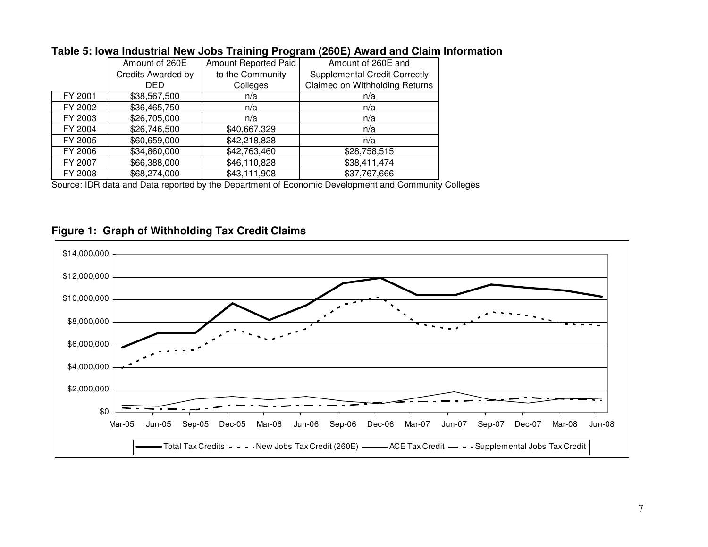|         | Amount of 260E     | Amount Reported Paid | Amount of 260E and                   |
|---------|--------------------|----------------------|--------------------------------------|
|         | Credits Awarded by | to the Community     | <b>Supplemental Credit Correctly</b> |
|         | DED                | Colleges             | Claimed on Withholding Returns       |
| FY 2001 | \$38,567,500       | n/a                  | n/a                                  |
| FY 2002 | \$36,465,750       | n/a                  | n/a                                  |
| FY 2003 | \$26,705,000       | n/a                  | n/a                                  |
| FY 2004 | \$26,746,500       | \$40,667,329         | n/a                                  |
| FY 2005 | \$60,659,000       | \$42,218,828         | n/a                                  |
| FY 2006 | \$34,860,000       | \$42,763,460         | \$28,758,515                         |
| FY 2007 | \$66,388,000       | \$46,110,828         | \$38,411,474                         |
| FY 2008 | \$68,274,000       | \$43,111,908         | \$37,767,666                         |

# **Table 5: Iowa Industrial New Jobs Training Program (260E) Award and Claim Information**

Source: IDR data and Data reported by the Department of Economic Development and Community Colleges

# **Figure 1: Graph of Withholding Tax Credit Claims**

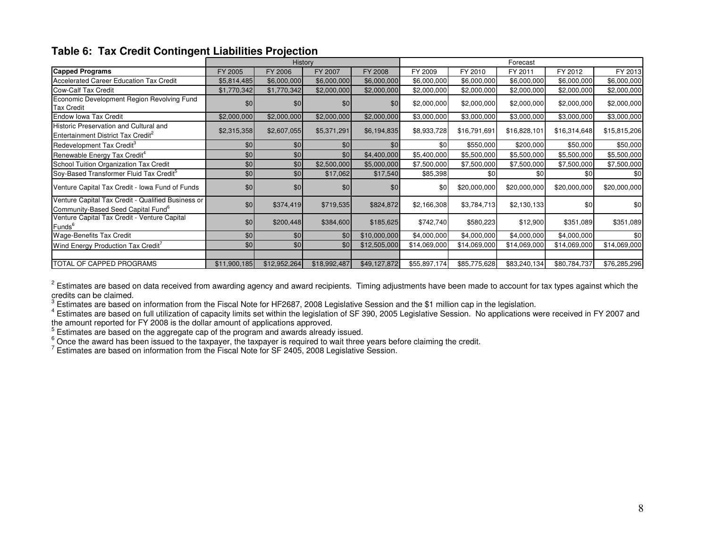#### **Table 6: Tax Credit Contingent Liabilities Projection**

|                                                                                                      |              | History      |              |              |              |              | Forecast     |              |              |
|------------------------------------------------------------------------------------------------------|--------------|--------------|--------------|--------------|--------------|--------------|--------------|--------------|--------------|
| <b>Capped Programs</b>                                                                               | FY 2005      | FY 2006      | FY 2007      | FY 2008      | FY 2009      | FY 2010      | FY 2011      | FY 2012      | FY 2013      |
| Accelerated Career Education Tax Credit                                                              | \$5,814,485  | \$6,000,000  | \$6,000,000  | \$6,000,000  | \$6,000,000  | \$6,000,000  | \$6,000,000  | \$6,000,000  | \$6,000,000  |
| <b>Cow-Calf Tax Credit</b>                                                                           | \$1,770,342  | \$1,770,342  | \$2,000,000  | \$2,000,000  | \$2,000,000  | \$2,000,000  | \$2,000,000  | \$2,000,000  | \$2,000,000  |
| Economic Development Region Revolving Fund<br><b>Tax Credit</b>                                      | \$0          | \$0          | \$0          | \$0          | \$2,000,000  | \$2,000,000  | \$2,000,000  | \$2,000,000  | \$2,000,000  |
| <b>Endow Iowa Tax Credit</b>                                                                         | \$2,000,000  | \$2,000,000  | \$2,000,000  | \$2,000,000  | \$3,000,000  | \$3,000,000  | \$3,000,000  | \$3,000,000  | \$3,000,000  |
| Historic Preservation and Cultural and<br>Entertainment District Tax Credit <sup>2</sup>             | \$2,315,358  | \$2,607,055  | \$5,371,291  | \$6,194,835  | \$8,933,728  | \$16,791,691 | \$16,828,101 | \$16,314,648 | \$15,815,206 |
| Redevelopment Tax Credit <sup>3</sup>                                                                | \$0          | \$0          | \$0          | \$0          | \$0          | \$550,000    | \$200,000    | \$50,000     | \$50,000     |
| Renewable Energy Tax Credit <sup>4</sup>                                                             | \$0          | \$0          | \$0          | \$4,400,000  | \$5,400,000  | \$5,500,000  | \$5,500,000  | \$5,500,000  | \$5,500,000  |
| School Tuition Organization Tax Credit                                                               | \$0          | \$0          | \$2,500,000  | \$5,000,000  | \$7,500,000  | \$7,500,000  | \$7,500,000  | \$7,500,000  | \$7,500,000  |
| Soy-Based Transformer Fluid Tax Credit <sup>5</sup>                                                  | \$0          | \$0          | \$17,062     | \$17,540     | \$85,398     | \$0          | \$0          | \$0          | \$0          |
| Venture Capital Tax Credit - Iowa Fund of Funds                                                      | \$0          | \$0          | \$0          | \$0          | \$0          | \$20,000,000 | \$20,000,000 | \$20,000,000 | \$20,000,000 |
| Venture Capital Tax Credit - Qualified Business or<br>Community-Based Seed Capital Fund <sup>o</sup> | \$0          | \$374,419    | \$719,535    | \$824,872    | \$2,166,308  | \$3,784,713  | \$2,130,133  | \$0          | \$0          |
| Venture Capital Tax Credit - Venture Capital<br>Funds <sup>6</sup>                                   | \$0          | \$200,448    | \$384,600    | \$185,625    | \$742,740    | \$580,223    | \$12,900     | \$351,089    | \$351,089    |
| <b>Wage-Benefits Tax Credit</b>                                                                      | \$0          | \$0          | \$0          | \$10,000,000 | \$4,000,000  | \$4,000,000  | \$4,000,000  | \$4,000,000  | \$0          |
| Wind Energy Production Tax Credit'                                                                   | \$0          | \$0          | \$0          | \$12,505,000 | \$14,069,000 | \$14,069,000 | \$14,069,000 | \$14,069,000 | \$14,069,000 |
|                                                                                                      |              |              |              |              |              |              |              |              |              |
| TOTAL OF CAPPED PROGRAMS                                                                             | \$11,900,185 | \$12,952,264 | \$18,992,487 | \$49,127,872 | \$55,897,174 | \$85,775,628 | \$83,240,134 | \$80,784,737 | \$76,285,296 |

<sup>2</sup> Estimates are based on data received from awarding agency and award recipients. Timing adjustments have been made to account for tax types against which the credits can be claimed.

 $^3$  Estimates are based on information from the Fiscal Note for HF2687, 2008 Legislative Session and the \$1 million cap in the legislation.

 $^4$  Estimates are based on full utilization of capacity limits set within the legislation of SF 390, 2005 Legislative Session. No applications were received in FY 2007 and<br>the amount reported for FY 2008 is the dollar am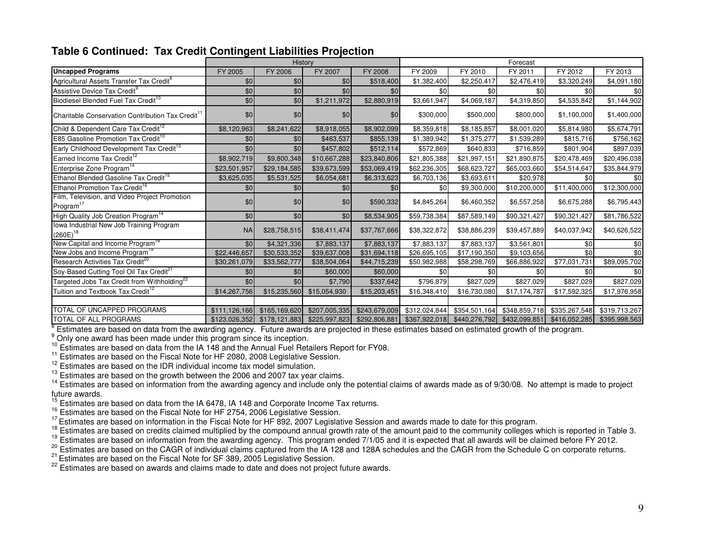| Table 6 Continued: Tax Credit Contingent Liabilities Projection |  |  |  |  |
|-----------------------------------------------------------------|--|--|--|--|
|-----------------------------------------------------------------|--|--|--|--|

|                                                                        |               | History          |               |               |               |               | Forecast      |               |               |
|------------------------------------------------------------------------|---------------|------------------|---------------|---------------|---------------|---------------|---------------|---------------|---------------|
| <b>Uncapped Programs</b>                                               | FY 2005       | FY 2006          | FY 2007       | FY 2008       | FY 2009       | FY 2010       | FY 2011       | FY 2012       | FY 2013       |
| Agricultural Assets Transfer Tax Credit <sup>8</sup>                   | \$0           | \$0              | \$0           | \$518,400     | \$1,382,400   | \$2,250,417   | \$2,476,419   | \$3,320,249   | \$4,091,180   |
| Assistive Device Tax Credit <sup>9</sup>                               | \$0           | \$0              | \$0           | \$0           | \$0           | \$0           | \$0           | \$0           | \$0           |
| Biodiesel Blended Fuel Tax Credit <sup>10</sup>                        | \$0           | \$0              | \$1,211,972   | \$2,880,919   | \$3,661,947   | \$4,069,187   | \$4,319,850   | \$4,535,842   | \$1,144,902   |
| Charitable Conservation Contribution Tax Credit <sup>11</sup>          | \$0           | \$0              | \$0           | \$0           | \$300,000     | \$500,000     | \$800,000     | \$1,100,000   | \$1,400,000   |
| Child & Dependent Care Tax Credit <sup>12</sup>                        | \$8,120,963   | \$8,241,622      | \$8,918,055   | \$8,902,099   | \$8,359,818   | \$8,185,857   | \$8,001,020   | \$5,814,980   | \$5,674,791   |
| E85 Gasoline Promotion Tax Credit <sup>10</sup>                        | \$0           | \$0              | \$463,537     | \$855,139     | \$1,389,942   | \$1,375,277   | \$1,539,289   | \$815,716     | \$756,162     |
| Early Childhood Development Tax Credit <sup>13</sup>                   | \$0           | \$0 <sub>l</sub> | \$457,802     | \$512,114     | \$572,869     | \$640,833     | \$716,859     | \$801,904     | \$897,039     |
| Earned Income Tax Credit <sup>12</sup>                                 | \$8,902,719   | \$9,800,348      | \$10,667,288  | \$23,840,806  | \$21,805,388  | \$21,997,151  | \$21,890,875  | \$20,478,469  | \$20,496,038  |
| Enterprise Zone Program <sup>14</sup>                                  | \$23,501,957  | \$29,184,585     | \$39,673,599  | \$53,069,419  | \$62,236,305  | \$68,623,727  | \$65,003,660  | \$54,514,647  | \$35,844,979  |
| Ethanol Blended Gasoline Tax Credit <sup>15</sup>                      | \$3,625,035   | \$5,531,525      | \$6,054,681   | \$6,313,623   | \$6,703,136   | \$3,693,611   | \$20,978      | \$0           | \$0           |
| Ethanol Promotion Tax Credit <sup>16</sup>                             | \$0           | \$0 <sub>l</sub> | \$0           | \$0           | \$0           | \$9,300,000   | \$10,200,000  | \$11,400,000  | \$12,300,000  |
| Film, Television, and Video Project Promotion<br>Program <sup>17</sup> | \$0           | \$0              | \$0           | \$590,332     | \$4,845,264   | \$6,460,352   | \$6,557,258   | \$6,675,288   | \$6,795,443   |
| High Quality Job Creation Program <sup>14</sup>                        | \$0           | \$0              | \$0           | \$8,534,905   | \$59,738,384  | \$87,589,149  | \$90,321,427  | \$90,321,427  | \$81,786,522  |
| Iowa Industrial New Job Training Program<br>$(260E)^{18}$              | <b>NA</b>     | \$28,758,515     | \$38,411,474  | \$37,767,666  | \$38,322,872  | \$38,886,239  | \$39,457,889  | \$40,037,942  | \$40,626,522  |
| New Capital and Income Program <sup>19</sup>                           | \$0           | \$4,321,336      | \$7,883,137   | \$7,883,137   | \$7,883,137   | \$7,883,137   | \$3,561,801   | \$0           | \$0           |
| New Jobs and Income Program <sup>18</sup>                              | \$22,446,657  | \$30,533,352     | \$39,637,008  | \$31,694,118  | \$26,695,105  | \$17,190,350  | \$9,103,656   | \$0           | \$0           |
| Research Activities Tax Credit <sup>20</sup>                           | \$30,261,079  | \$33,562,777     | \$38,504,064  | \$44,715,239  | \$50,982,988  | \$58,298,769  | \$66,886,922  | \$77,031,731  | \$89,095,702  |
| Soy-Based Cutting Tool Oil Tax Credit <sup>21</sup>                    | \$0           | \$0              | \$60,000      | \$60,000      | \$0           | \$0           | \$0           | \$0           | \$0           |
| Targeted Jobs Tax Credit from Withholding <sup>22</sup>                | \$0           | \$0              | \$7,790       | \$337,642     | \$796,879     | \$827,029     | \$827,029     | \$827,029     | \$827,029     |
| Tuition and Textbook Tax Credit <sup>12</sup>                          | \$14,267,756  | \$15,235,560     | \$15,054,930  | \$15,203,451  | \$16,348,410  | \$16,730,080  | \$17,174,787  | \$17,592,325  | \$17,976,958  |
|                                                                        |               |                  |               |               |               |               |               |               |               |
| <b>TOTAL OF UNCAPPED PROGRAMS</b>                                      | \$111,126,166 | \$165,169,620    | \$207,005,335 | \$243,679,009 | \$312,024,844 | \$354,501,164 | \$348,859,718 | \$335,267,548 | \$319,713,267 |
| TOTAL OF ALL PROGRAMS                                                  | \$123,026,352 | \$178,121,883    | \$225,997,823 | \$292,806,881 | \$367,922,018 | \$440,276,792 | \$432,099,851 | \$416,052,285 | \$395,998,563 |

 $8$  Estimates are based on data from the awarding agency. Future awards are projected in these estimates based on estimated growth of the program.

<sup>9</sup> Only one award has been made under this program since its inception.<br><sup>10</sup> Estimates are based on data from the IA 148 and the Annual Fuel Retailers Report for FY08.<br><sup>11</sup> Estimates are based on the Fiscal Note for HF 20

<sup>13</sup> Estimates are based on the growth between the 2006 and 2007 tax year claims.

<sup>13</sup> Estimates are based on the growth between the 2006 and 2007 tax year claims.<br><sup>14</sup> Estimates are based on information from the awarding agency and include only the potential claims of awards made as of 9/30/08. No atte future awards.

<sup>15</sup> Estimates are based on data from the IA 6478, IA 148 and Corporate Income Tax returns.<br><sup>15</sup> Estimates are based on the Fiscal Note for HF 2754, 2006 Legislative Session.<br><sup>17</sup> Estimates are based on information in the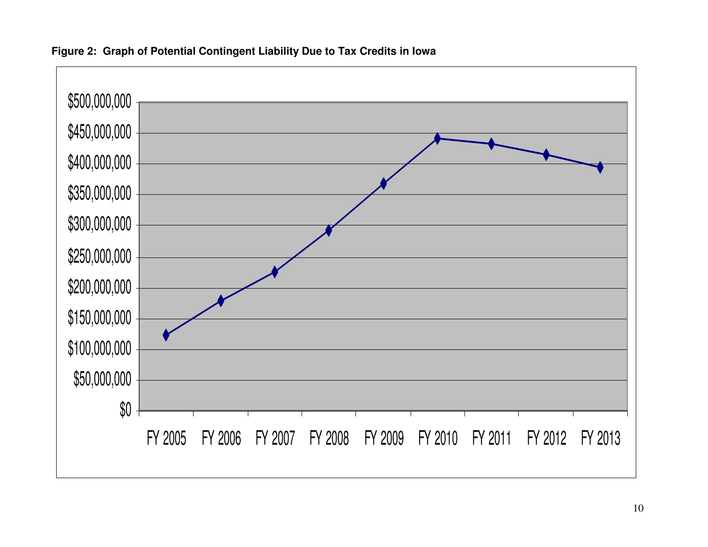

## **Figure 2: Graph of Potential Contingent Liability Due to Tax Credits in Iowa**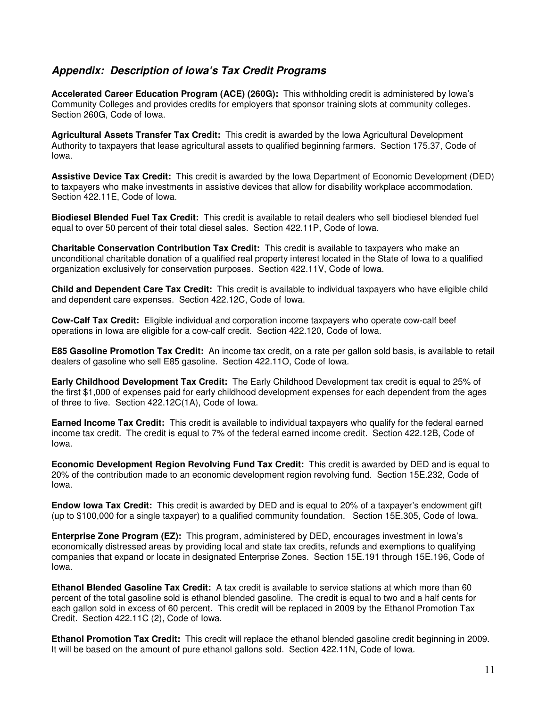### **Appendix: Description of Iowa's Tax Credit Programs**

**Accelerated Career Education Program (ACE) (260G):** This withholding credit is administered by Iowa's Community Colleges and provides credits for employers that sponsor training slots at community colleges. Section 260G, Code of Iowa.

**Agricultural Assets Transfer Tax Credit:** This credit is awarded by the Iowa Agricultural Development Authority to taxpayers that lease agricultural assets to qualified beginning farmers. Section 175.37, Code of Iowa.

**Assistive Device Tax Credit:** This credit is awarded by the Iowa Department of Economic Development (DED) to taxpayers who make investments in assistive devices that allow for disability workplace accommodation. Section 422.11E, Code of Iowa.

**Biodiesel Blended Fuel Tax Credit:** This credit is available to retail dealers who sell biodiesel blended fuel equal to over 50 percent of their total diesel sales. Section 422.11P, Code of Iowa.

**Charitable Conservation Contribution Tax Credit:** This credit is available to taxpayers who make an unconditional charitable donation of a qualified real property interest located in the State of Iowa to a qualified organization exclusively for conservation purposes. Section 422.11V, Code of Iowa.

**Child and Dependent Care Tax Credit:** This credit is available to individual taxpayers who have eligible child and dependent care expenses. Section 422.12C, Code of Iowa.

**Cow-Calf Tax Credit:** Eligible individual and corporation income taxpayers who operate cow-calf beef operations in Iowa are eligible for a cow-calf credit. Section 422.120, Code of Iowa.

**E85 Gasoline Promotion Tax Credit:** An income tax credit, on a rate per gallon sold basis, is available to retail dealers of gasoline who sell E85 gasoline. Section 422.11O, Code of Iowa.

**Early Childhood Development Tax Credit:** The Early Childhood Development tax credit is equal to 25% of the first \$1,000 of expenses paid for early childhood development expenses for each dependent from the ages of three to five. Section 422.12C(1A), Code of Iowa.

**Earned Income Tax Credit:** This credit is available to individual taxpayers who qualify for the federal earned income tax credit. The credit is equal to 7% of the federal earned income credit. Section 422.12B, Code of Iowa.

**Economic Development Region Revolving Fund Tax Credit:** This credit is awarded by DED and is equal to 20% of the contribution made to an economic development region revolving fund. Section 15E.232, Code of Iowa.

**Endow Iowa Tax Credit:** This credit is awarded by DED and is equal to 20% of a taxpayer's endowment gift (up to \$100,000 for a single taxpayer) to a qualified community foundation. Section 15E.305, Code of Iowa.

**Enterprise Zone Program (EZ):** This program, administered by DED, encourages investment in Iowa's economically distressed areas by providing local and state tax credits, refunds and exemptions to qualifying companies that expand or locate in designated Enterprise Zones. Section 15E.191 through 15E.196, Code of Iowa.

**Ethanol Blended Gasoline Tax Credit:** A tax credit is available to service stations at which more than 60 percent of the total gasoline sold is ethanol blended gasoline. The credit is equal to two and a half cents for each gallon sold in excess of 60 percent. This credit will be replaced in 2009 by the Ethanol Promotion Tax Credit. Section 422.11C (2), Code of Iowa.

**Ethanol Promotion Tax Credit:** This credit will replace the ethanol blended gasoline credit beginning in 2009. It will be based on the amount of pure ethanol gallons sold. Section 422.11N, Code of Iowa.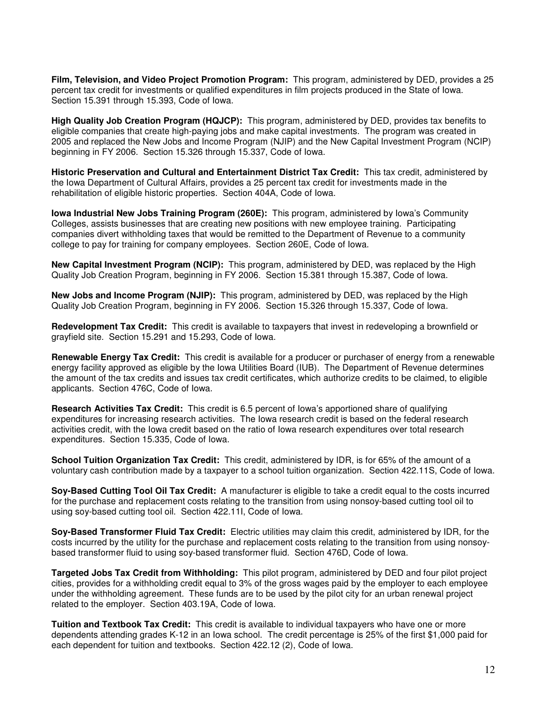**Film, Television, and Video Project Promotion Program:** This program, administered by DED, provides a 25 percent tax credit for investments or qualified expenditures in film projects produced in the State of Iowa. Section 15.391 through 15.393, Code of Iowa.

**High Quality Job Creation Program (HQJCP):** This program, administered by DED, provides tax benefits to eligible companies that create high-paying jobs and make capital investments. The program was created in 2005 and replaced the New Jobs and Income Program (NJIP) and the New Capital Investment Program (NCIP) beginning in FY 2006. Section 15.326 through 15.337, Code of Iowa.

**Historic Preservation and Cultural and Entertainment District Tax Credit:** This tax credit, administered by the Iowa Department of Cultural Affairs, provides a 25 percent tax credit for investments made in the rehabilitation of eligible historic properties. Section 404A, Code of Iowa.

**Iowa Industrial New Jobs Training Program (260E):** This program, administered by Iowa's Community Colleges, assists businesses that are creating new positions with new employee training. Participating companies divert withholding taxes that would be remitted to the Department of Revenue to a community college to pay for training for company employees. Section 260E, Code of Iowa.

**New Capital Investment Program (NCIP):** This program, administered by DED, was replaced by the High Quality Job Creation Program, beginning in FY 2006. Section 15.381 through 15.387, Code of Iowa.

**New Jobs and Income Program (NJIP):** This program, administered by DED, was replaced by the High Quality Job Creation Program, beginning in FY 2006. Section 15.326 through 15.337, Code of Iowa.

**Redevelopment Tax Credit:** This credit is available to taxpayers that invest in redeveloping a brownfield or grayfield site. Section 15.291 and 15.293, Code of Iowa.

**Renewable Energy Tax Credit:** This credit is available for a producer or purchaser of energy from a renewable energy facility approved as eligible by the Iowa Utilities Board (IUB). The Department of Revenue determines the amount of the tax credits and issues tax credit certificates, which authorize credits to be claimed, to eligible applicants. Section 476C, Code of Iowa.

**Research Activities Tax Credit:** This credit is 6.5 percent of Iowa's apportioned share of qualifying expenditures for increasing research activities. The Iowa research credit is based on the federal research activities credit, with the Iowa credit based on the ratio of Iowa research expenditures over total research expenditures. Section 15.335, Code of Iowa.

**School Tuition Organization Tax Credit:** This credit, administered by IDR, is for 65% of the amount of a voluntary cash contribution made by a taxpayer to a school tuition organization. Section 422.11S, Code of Iowa.

**Soy-Based Cutting Tool Oil Tax Credit:** A manufacturer is eligible to take a credit equal to the costs incurred for the purchase and replacement costs relating to the transition from using nonsoy-based cutting tool oil to using soy-based cutting tool oil. Section 422.11I, Code of Iowa.

**Soy-Based Transformer Fluid Tax Credit:** Electric utilities may claim this credit, administered by IDR, for the costs incurred by the utility for the purchase and replacement costs relating to the transition from using nonsoybased transformer fluid to using soy-based transformer fluid. Section 476D, Code of Iowa.

**Targeted Jobs Tax Credit from Withholding:** This pilot program, administered by DED and four pilot project cities, provides for a withholding credit equal to 3% of the gross wages paid by the employer to each employee under the withholding agreement. These funds are to be used by the pilot city for an urban renewal project related to the employer. Section 403.19A, Code of Iowa.

**Tuition and Textbook Tax Credit:** This credit is available to individual taxpayers who have one or more dependents attending grades K-12 in an Iowa school. The credit percentage is 25% of the first \$1,000 paid for each dependent for tuition and textbooks. Section 422.12 (2), Code of Iowa.